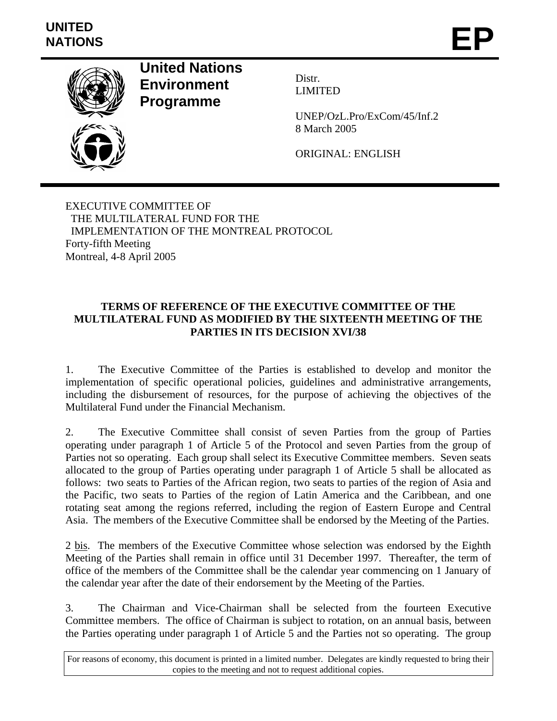

**United Nations Environment Programme** 

Distr. LIMITED

UNEP/OzL.Pro/ExCom/45/Inf.2 8 March 2005

ORIGINAL: ENGLISH

EXECUTIVE COMMITTEE OF THE MULTILATERAL FUND FOR THE IMPLEMENTATION OF THE MONTREAL PROTOCOL Forty-fifth Meeting Montreal, 4-8 April 2005

## **TERMS OF REFERENCE OF THE EXECUTIVE COMMITTEE OF THE MULTILATERAL FUND AS MODIFIED BY THE SIXTEENTH MEETING OF THE PARTIES IN ITS DECISION XVI/38**

1. The Executive Committee of the Parties is established to develop and monitor the implementation of specific operational policies, guidelines and administrative arrangements, including the disbursement of resources, for the purpose of achieving the objectives of the Multilateral Fund under the Financial Mechanism.

2. The Executive Committee shall consist of seven Parties from the group of Parties operating under paragraph 1 of Article 5 of the Protocol and seven Parties from the group of Parties not so operating. Each group shall select its Executive Committee members. Seven seats allocated to the group of Parties operating under paragraph 1 of Article 5 shall be allocated as follows: two seats to Parties of the African region, two seats to parties of the region of Asia and the Pacific, two seats to Parties of the region of Latin America and the Caribbean, and one rotating seat among the regions referred, including the region of Eastern Europe and Central Asia. The members of the Executive Committee shall be endorsed by the Meeting of the Parties.

2 bis. The members of the Executive Committee whose selection was endorsed by the Eighth Meeting of the Parties shall remain in office until 31 December 1997. Thereafter, the term of office of the members of the Committee shall be the calendar year commencing on 1 January of the calendar year after the date of their endorsement by the Meeting of the Parties.

3. The Chairman and Vice-Chairman shall be selected from the fourteen Executive Committee members. The office of Chairman is subject to rotation, on an annual basis, between the Parties operating under paragraph 1 of Article 5 and the Parties not so operating. The group

For reasons of economy, this document is printed in a limited number. Delegates are kindly requested to bring their copies to the meeting and not to request additional copies.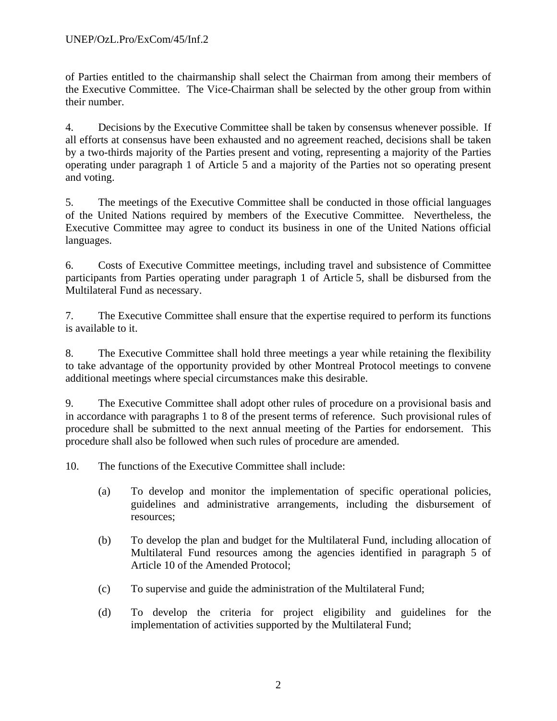of Parties entitled to the chairmanship shall select the Chairman from among their members of the Executive Committee. The Vice-Chairman shall be selected by the other group from within their number.

4. Decisions by the Executive Committee shall be taken by consensus whenever possible. If all efforts at consensus have been exhausted and no agreement reached, decisions shall be taken by a two-thirds majority of the Parties present and voting, representing a majority of the Parties operating under paragraph 1 of Article 5 and a majority of the Parties not so operating present and voting.

5. The meetings of the Executive Committee shall be conducted in those official languages of the United Nations required by members of the Executive Committee. Nevertheless, the Executive Committee may agree to conduct its business in one of the United Nations official languages.

6. Costs of Executive Committee meetings, including travel and subsistence of Committee participants from Parties operating under paragraph 1 of Article 5, shall be disbursed from the Multilateral Fund as necessary.

7. The Executive Committee shall ensure that the expertise required to perform its functions is available to it.

8. The Executive Committee shall hold three meetings a year while retaining the flexibility to take advantage of the opportunity provided by other Montreal Protocol meetings to convene additional meetings where special circumstances make this desirable.

9. The Executive Committee shall adopt other rules of procedure on a provisional basis and in accordance with paragraphs 1 to 8 of the present terms of reference. Such provisional rules of procedure shall be submitted to the next annual meeting of the Parties for endorsement. This procedure shall also be followed when such rules of procedure are amended.

10. The functions of the Executive Committee shall include:

- (a) To develop and monitor the implementation of specific operational policies, guidelines and administrative arrangements, including the disbursement of resources;
- (b) To develop the plan and budget for the Multilateral Fund, including allocation of Multilateral Fund resources among the agencies identified in paragraph 5 of Article 10 of the Amended Protocol;
- (c) To supervise and guide the administration of the Multilateral Fund;
- (d) To develop the criteria for project eligibility and guidelines for the implementation of activities supported by the Multilateral Fund;